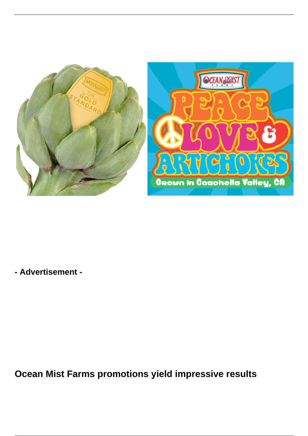

**- Advertisement -**

**Ocean Mist Farms promotions yield impressive results**